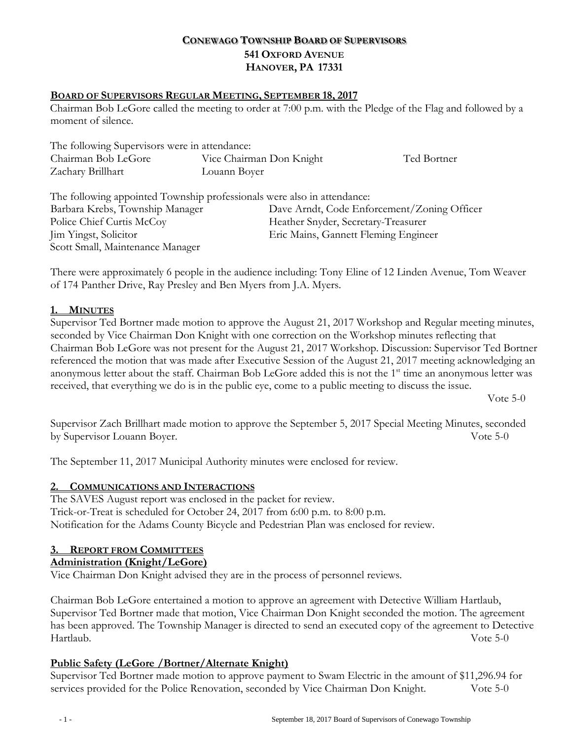## **CONEWAGO TOWNSHIP BOARD OF SUPERVISORS 541 OXFORD AVENUE HANOVER, PA 17331**

### **BOARD OF SUPERVISORS REGULAR MEETING, SEPTEMBER 18, 2017**

Chairman Bob LeGore called the meeting to order at 7:00 p.m. with the Pledge of the Flag and followed by a moment of silence.

| The following Supervisors were in attendance:                                                              |                          |                                      |                                             |
|------------------------------------------------------------------------------------------------------------|--------------------------|--------------------------------------|---------------------------------------------|
| Chairman Bob LeGore                                                                                        | Vice Chairman Don Knight |                                      | Ted Bortner                                 |
| Zachary Brillhart                                                                                          | Louann Boyer             |                                      |                                             |
| The following appointed Township professionals were also in attendance:<br>Barbara Krebs, Township Manager |                          |                                      | Dave Arndt, Code Enforcement/Zoning Officer |
| Police Chief Curtis McCoy                                                                                  |                          | Heather Snyder, Secretary-Treasurer  |                                             |
| Jim Yingst, Solicitor                                                                                      |                          | Eric Mains, Gannett Fleming Engineer |                                             |
| Scott Small, Maintenance Manager                                                                           |                          |                                      |                                             |

There were approximately 6 people in the audience including: Tony Eline of 12 Linden Avenue, Tom Weaver of 174 Panther Drive, Ray Presley and Ben Myers from J.A. Myers.

### **1. MINUTES**

Supervisor Ted Bortner made motion to approve the August 21, 2017 Workshop and Regular meeting minutes, seconded by Vice Chairman Don Knight with one correction on the Workshop minutes reflecting that Chairman Bob LeGore was not present for the August 21, 2017 Workshop. Discussion: Supervisor Ted Bortner referenced the motion that was made after Executive Session of the August 21, 2017 meeting acknowledging an anonymous letter about the staff. Chairman Bob LeGore added this is not the  $1<sup>st</sup>$  time an anonymous letter was received, that everything we do is in the public eye, come to a public meeting to discuss the issue.

Vote 5-0

Supervisor Zach Brillhart made motion to approve the September 5, 2017 Special Meeting Minutes, seconded by Supervisor Louann Boyer. Vote 5-0

The September 11, 2017 Municipal Authority minutes were enclosed for review.

### **2. COMMUNICATIONS AND INTERACTIONS**

The SAVES August report was enclosed in the packet for review. Trick-or-Treat is scheduled for October 24, 2017 from 6:00 p.m. to 8:00 p.m. Notification for the Adams County Bicycle and Pedestrian Plan was enclosed for review.

## **3. REPORT FROM COMMITTEES**

### **Administration (Knight/LeGore)**

Vice Chairman Don Knight advised they are in the process of personnel reviews.

Chairman Bob LeGore entertained a motion to approve an agreement with Detective William Hartlaub, Supervisor Ted Bortner made that motion, Vice Chairman Don Knight seconded the motion. The agreement has been approved. The Township Manager is directed to send an executed copy of the agreement to Detective Hartlaub. Vote 5-0

### **Public Safety (LeGore /Bortner/Alternate Knight)**

Supervisor Ted Bortner made motion to approve payment to Swam Electric in the amount of \$11,296.94 for services provided for the Police Renovation, seconded by Vice Chairman Don Knight. Vote 5-0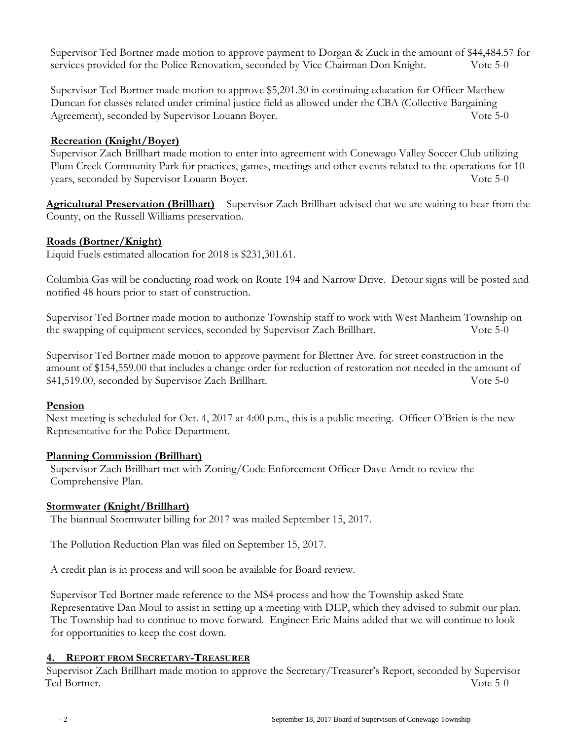Supervisor Ted Bortner made motion to approve payment to Dorgan & Zuck in the amount of \$44,484.57 for services provided for the Police Renovation, seconded by Vice Chairman Don Knight. Vote 5-0

Supervisor Ted Bortner made motion to approve \$5,201.30 in continuing education for Officer Matthew Duncan for classes related under criminal justice field as allowed under the CBA (Collective Bargaining Agreement), seconded by Supervisor Louann Boyer. Vote 5-0

## **Recreation (Knight/Boyer)**

Supervisor Zach Brillhart made motion to enter into agreement with Conewago Valley Soccer Club utilizing Plum Creek Community Park for practices, games, meetings and other events related to the operations for 10 years, seconded by Supervisor Louann Boyer. Vote 5-0

**Agricultural Preservation (Brillhart)** - Supervisor Zach Brillhart advised that we are waiting to hear from the County, on the Russell Williams preservation.

### **Roads (Bortner/Knight)**

Liquid Fuels estimated allocation for 2018 is \$231,301.61.

Columbia Gas will be conducting road work on Route 194 and Narrow Drive. Detour signs will be posted and notified 48 hours prior to start of construction.

Supervisor Ted Bortner made motion to authorize Township staff to work with West Manheim Township on the swapping of equipment services, seconded by Supervisor Zach Brillhart. Vote 5-0

Supervisor Ted Bortner made motion to approve payment for Blettner Ave. for street construction in the amount of \$154,559.00 that includes a change order for reduction of restoration not needed in the amount of \$41,519.00, seconded by Supervisor Zach Brillhart. Vote 5-0

### **Pension**

Next meeting is scheduled for Oct. 4, 2017 at 4:00 p.m., this is a public meeting. Officer O'Brien is the new Representative for the Police Department.

### **Planning Commission (Brillhart)**

Supervisor Zach Brillhart met with Zoning/Code Enforcement Officer Dave Arndt to review the Comprehensive Plan.

### **Stormwater (Knight/Brillhart)**

The biannual Stormwater billing for 2017 was mailed September 15, 2017.

The Pollution Reduction Plan was filed on September 15, 2017.

A credit plan is in process and will soon be available for Board review.

Supervisor Ted Bortner made reference to the MS4 process and how the Township asked State Representative Dan Moul to assist in setting up a meeting with DEP, which they advised to submit our plan. The Township had to continue to move forward. Engineer Eric Mains added that we will continue to look for opportunities to keep the cost down.

### **4. REPORT FROM SECRETARY-TREASURER**

Supervisor Zach Brillhart made motion to approve the Secretary/Treasurer's Report, seconded by Supervisor Ted Bortner. Vote 5-0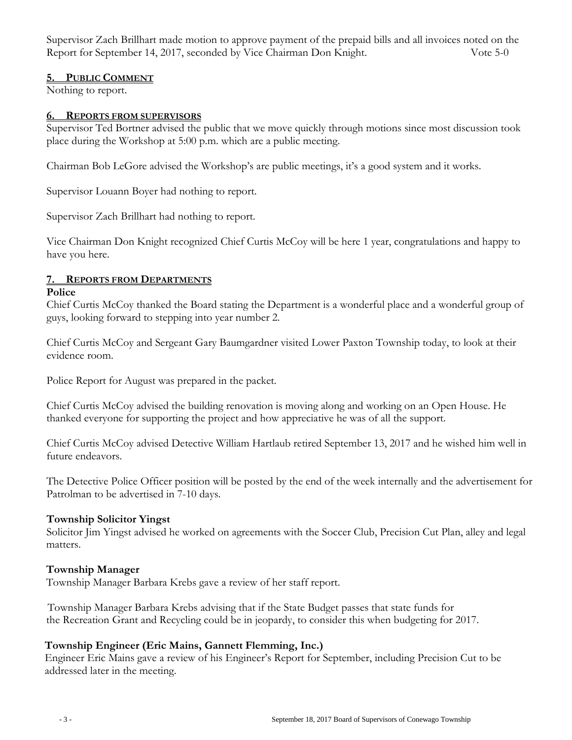Supervisor Zach Brillhart made motion to approve payment of the prepaid bills and all invoices noted on the Report for September 14, 2017, seconded by Vice Chairman Don Knight. Vote 5-0

### **5. PUBLIC COMMENT**

Nothing to report.

### **6. REPORTS FROM SUPERVISORS**

Supervisor Ted Bortner advised the public that we move quickly through motions since most discussion took place during the Workshop at 5:00 p.m. which are a public meeting.

Chairman Bob LeGore advised the Workshop's are public meetings, it's a good system and it works.

Supervisor Louann Boyer had nothing to report.

Supervisor Zach Brillhart had nothing to report.

Vice Chairman Don Knight recognized Chief Curtis McCoy will be here 1 year, congratulations and happy to have you here.

## **7. REPORTS FROM DEPARTMENTS**

#### **Police**

Chief Curtis McCoy thanked the Board stating the Department is a wonderful place and a wonderful group of guys, looking forward to stepping into year number 2.

Chief Curtis McCoy and Sergeant Gary Baumgardner visited Lower Paxton Township today, to look at their evidence room.

Police Report for August was prepared in the packet.

Chief Curtis McCoy advised the building renovation is moving along and working on an Open House. He thanked everyone for supporting the project and how appreciative he was of all the support.

Chief Curtis McCoy advised Detective William Hartlaub retired September 13, 2017 and he wished him well in future endeavors.

The Detective Police Officer position will be posted by the end of the week internally and the advertisement for Patrolman to be advertised in 7-10 days.

## **Township Solicitor Yingst**

Solicitor Jim Yingst advised he worked on agreements with the Soccer Club, Precision Cut Plan, alley and legal matters.

### **Township Manager**

Township Manager Barbara Krebs gave a review of her staff report.

 Township Manager Barbara Krebs advising that if the State Budget passes that state funds for the Recreation Grant and Recycling could be in jeopardy, to consider this when budgeting for 2017.

## **Township Engineer (Eric Mains, Gannett Flemming, Inc.)**

 Engineer Eric Mains gave a review of his Engineer's Report for September, including Precision Cut to be addressed later in the meeting.